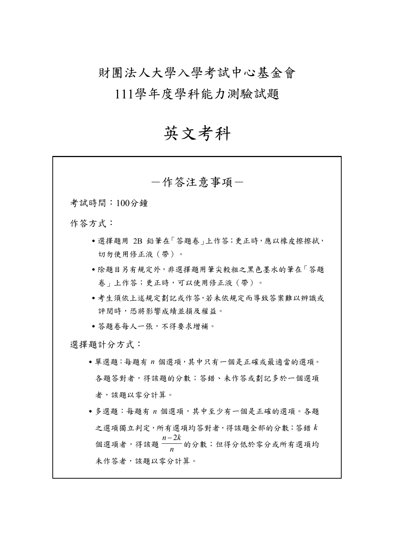財團法人大學入學考試中心基金會

111學年度學科能力測驗試題

# 英文考科

| 一作答注意事項-                                                    |
|-------------------------------------------------------------|
| 考試時間:100分鐘                                                  |
| 作答方式:                                                       |
| ● 選擇題用 2B 鉛筆在「答題卷   上作答;更正時,應以橡皮擦擦拭,<br>切勿使用修正液(帶)。         |
| • 除題目另有規定外, 非選擇題用筆尖較粗之黑色墨水的筆在「答題<br>卷 - 上作答;更正時,可以使用修正液(帶)。 |
| •考生須依上述規定劃記或作答,若未依規定而導致答案難以辨識或<br>評閱時,恐將影響成績並損及權益。          |
| • 答題卷每人一張,不得要求增補。                                           |
| 選擇題計分方式:                                                    |
| · 單選題:每題有 n 個選項,其中只有一個是正確或最適當的選項。                           |
| 各題答對者,得該題的分數;答錯、未作答或劃記多於一個選項                                |
| 者,該題以零分計算。                                                  |
| •多選題:每題有 n 個選項,其中至少有一個是正確的選項。各題                             |
| 之選項獨立判定,所有選項均答對者,得該題全部的分數;答錯 k                              |
| 個選項者,得該題 $\frac{n-2k}{n}$ 的分數;但得分低於零分或所有選項均                 |
| 未作答者,該題以零分計算。                                               |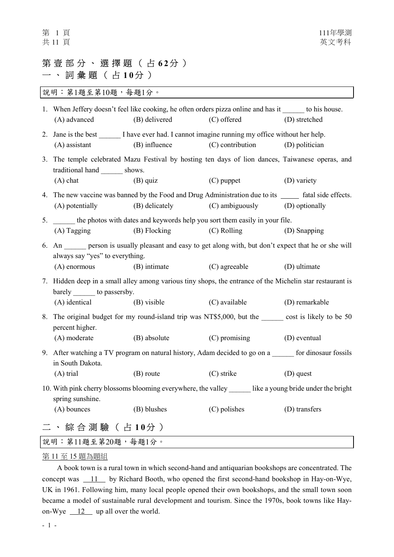# 第壹部分、選擇題(占62分) 一 、 詞 彙 題 ( 占 1 0 分 )

說明︰第1題至第10題,每題1分。

|                                                                                                                               | 1. When Jeffery doesn't feel like cooking, he often orders pizza online and has it ______ to his house.<br>(A) advanced                   | (B) delivered  | (C) offered      | (D) stretched  |  |
|-------------------------------------------------------------------------------------------------------------------------------|-------------------------------------------------------------------------------------------------------------------------------------------|----------------|------------------|----------------|--|
|                                                                                                                               | 2. Jane is the best _______ I have ever had. I cannot imagine running my office without her help.<br>$(A)$ assistant                      | (B) influence  | (C) contribution | (D) politician |  |
|                                                                                                                               | 3. The temple celebrated Mazu Festival by hosting ten days of lion dances, Taiwanese operas, and<br>traditional hand ________ shows.      |                |                  |                |  |
|                                                                                                                               | $(A)$ chat                                                                                                                                | $(B)$ quiz     | $(C)$ puppet     | (D) variety    |  |
|                                                                                                                               | 4. The new vaccine was banned by the Food and Drug Administration due to its ______ fatal side effects.<br>(A) potentially                | (B) delicately | (C) ambiguously  | (D) optionally |  |
| 5.                                                                                                                            | the photos with dates and keywords help you sort them easily in your file.                                                                |                |                  |                |  |
|                                                                                                                               | $(A)$ Tagging                                                                                                                             | (B) Flocking   | (C) Rolling      | (D) Snapping   |  |
|                                                                                                                               | 6. An person is usually pleasant and easy to get along with, but don't expect that he or she will<br>always say "yes" to everything.      |                |                  |                |  |
|                                                                                                                               | $(A)$ enormous                                                                                                                            | (B) intimate   | (C) agreeable    | (D) ultimate   |  |
|                                                                                                                               | 7. Hidden deep in a small alley among various tiny shops, the entrance of the Michelin star restaurant is<br>barely _______ to passersby. |                |                  |                |  |
|                                                                                                                               | (A) identical                                                                                                                             | (B) visible    | (C) available    | (D) remarkable |  |
| 8.                                                                                                                            | The original budget for my round-island trip was NT\$5,000, but the _______ cost is likely to be 50<br>percent higher.                    |                |                  |                |  |
|                                                                                                                               | (A) moderate                                                                                                                              | (B) absolute   | (C) promising    | (D) eventual   |  |
|                                                                                                                               | 9. After watching a TV program on natural history, Adam decided to go on a ______ for dinosaur fossils<br>in South Dakota.                |                |                  |                |  |
|                                                                                                                               | $(A)$ trial                                                                                                                               | (B) route      | $(C)$ strike     | $(D)$ quest    |  |
| 10. With pink cherry blossoms blooming everywhere, the valley _______ like a young bride under the bright<br>spring sunshine. |                                                                                                                                           |                |                  |                |  |
|                                                                                                                               | (A) bounces                                                                                                                               | (B) blushes    | (C) polishes     | (D) transfers  |  |
|                                                                                                                               | 二 、 綜 合 測 驗 ( 占 10分 )                                                                                                                     |                |                  |                |  |
|                                                                                                                               | 說明:第11題至第20題,每題1分。                                                                                                                        |                |                  |                |  |

## 第 11 至 15 題為題組

A book town is a rural town in which second-hand and antiquarian bookshops are concentrated. The concept was  $11$  by Richard Booth, who opened the first second-hand bookshop in Hay-on-Wye, UK in 1961. Following him, many local people opened their own bookshops, and the small town soon became a model of sustainable rural development and tourism. Since the 1970s, book towns like Hayon-Wye  $12$  up all over the world.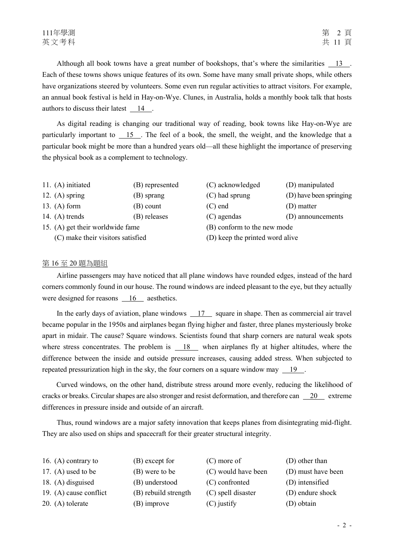Although all book towns have a great number of bookshops, that's where the similarities 13 . Each of these towns shows unique features of its own. Some have many small private shops, while others have organizations steered by volunteers. Some even run regular activities to attract visitors. For example, an annual book festival is held in Hay-on-Wye. Clunes, in Australia, holds a monthly book talk that hosts authors to discuss their latest 14.

As digital reading is changing our traditional way of reading, book towns like Hay-on-Wye are particularly important to 15 . The feel of a book, the smell, the weight, and the knowledge that a particular book might be more than a hundred years old—all these highlight the importance of preserving the physical book as a complement to technology.

- 11. (A) initiated (B) represented (C) acknowledged (D) manipulated
- 12. (A) spring (B) sprang (C) had sprung (D) have been springing
- 13. (A) form (B) count (C) end (D) matter
- 14. (A) trends (B) releases (C) agendas (D) announcements
- 15. (A) get their worldwide fame (B) conform to the new mode
	-
- 
- 
- 
- 
- 
- 
- 
- (C) make their visitors satisfied (D) keep the printed word alive

## 第 16 至 20 題為題組

Airline passengers may have noticed that all plane windows have rounded edges, instead of the hard corners commonly found in our house. The round windows are indeed pleasant to the eye, but they actually were designed for reasons 16 aesthetics.

In the early days of aviation, plane windows 17 square in shape. Then as commercial air travel became popular in the 1950s and airplanes began flying higher and faster, three planes mysteriously broke apart in midair. The cause? Square windows. Scientists found that sharp corners are natural weak spots where stress concentrates. The problem is 18 when airplanes fly at higher altitudes, where the difference between the inside and outside pressure increases, causing added stress. When subjected to repeated pressurization high in the sky, the four corners on a square window may 19 .

Curved windows, on the other hand, distribute stress around more evenly, reducing the likelihood of cracks or breaks. Circular shapes are also stronger and resist deformation, and therefore can  $\frac{20}{20}$  extreme differences in pressure inside and outside of an aircraft.

Thus, round windows are a major safety innovation that keeps planes from disintegrating mid-flight. They are also used on ships and spacecraft for their greater structural integrity.

| 16. (A) contrary to    | (B) except for       | $(C)$ more of       | (D) other than     |
|------------------------|----------------------|---------------------|--------------------|
| 17. $(A)$ used to be   | (B) were to be       | (C) would have been | (D) must have been |
| 18. $(A)$ disguised    | (B) understood       | (C) confronted      | (D) intensified    |
| 19. (A) cause conflict | (B) rebuild strength | (C) spell disaster  | (D) endure shock   |
| 20. $(A)$ tolerate     | $(B)$ improve        | $(C)$ justify       | (D) obtain         |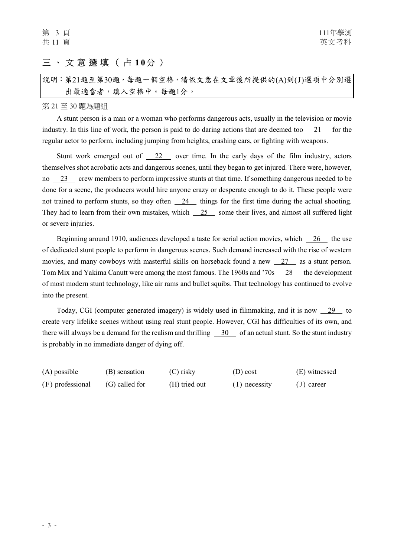# 三 、 文 意 選 填 ( 占 1 0分 )

|                   | 說明:第21題至第30題,每題一個空格,請依文意在文章後所提供的(A)到(J)選項中分別選 |
|-------------------|-----------------------------------------------|
| 出最適當者,填入空格中。每題1分。 |                                               |

#### 第 21 至 30 題為題組

A stunt person is a man or a woman who performs dangerous acts, usually in the television or movie industry. In this line of work, the person is paid to do daring actions that are deemed too 21 for the regular actor to perform, including jumping from heights, crashing cars, or fighting with weapons.

Stunt work emerged out of  $\frac{22}{2}$  over time. In the early days of the film industry, actors themselves shot acrobatic acts and dangerous scenes, until they began to get injured. There were, however, no 23 crew members to perform impressive stunts at that time. If something dangerous needed to be done for a scene, the producers would hire anyone crazy or desperate enough to do it. These people were not trained to perform stunts, so they often 24 things for the first time during the actual shooting. They had to learn from their own mistakes, which  $\frac{25}{25}$  some their lives, and almost all suffered light or severe injuries.

Beginning around 1910, audiences developed a taste for serial action movies, which 26 the use of dedicated stunt people to perform in dangerous scenes. Such demand increased with the rise of western movies, and many cowboys with masterful skills on horseback found a new 27 as a stunt person. Tom Mix and Yakima Canutt were among the most famous. The 1960s and '70s 28 the development of most modern stunt technology, like air rams and bullet squibs. That technology has continued to evolve into the present.

Today, CGI (computer generated imagery) is widely used in filmmaking, and it is now 29 to create very lifelike scenes without using real stunt people. However, CGI has difficulties of its own, and there will always be a demand for the realism and thrilling  $\frac{30}{10}$  of an actual stunt. So the stunt industry is probably in no immediate danger of dying off.

| $(A)$ possible   | (B) sensation  | (C) risky     | $(D)$ cost      | (E) witnessed |
|------------------|----------------|---------------|-----------------|---------------|
| (F) professional | (G) called for | (H) tried out | $(I)$ necessity | $(J)$ career  |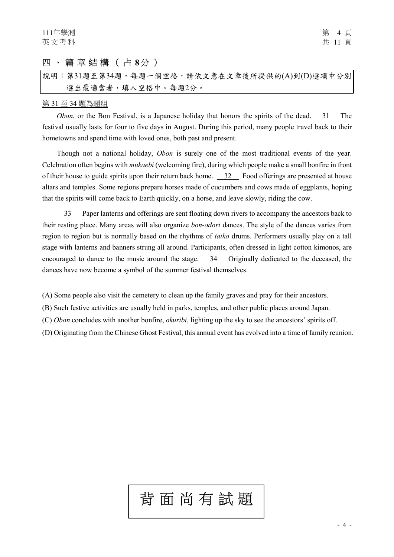# 四 、 篇 章 結 構 ( 占 8分 )

說明︰第31題至第34題,每題一個空格,請依文意在文章後所提供的(A)到(D)選項中分別 選出最適當者,填入空格中。每題2分。

### 第 31 至 34 題為題組

Obon, or the Bon Festival, is a Japanese holiday that honors the spirits of the dead. 31 The festival usually lasts for four to five days in August. During this period, many people travel back to their hometowns and spend time with loved ones, both past and present.

Though not a national holiday, *Obon* is surely one of the most traditional events of the year. Celebration often begins with mukaebi (welcoming fire), during which people make a small bonfire in front of their house to guide spirits upon their return back home. 32 Food offerings are presented at house altars and temples. Some regions prepare horses made of cucumbers and cows made of eggplants, hoping that the spirits will come back to Earth quickly, on a horse, and leave slowly, riding the cow.

 33 Paper lanterns and offerings are sent floating down rivers to accompany the ancestors back to their resting place. Many areas will also organize bon-odori dances. The style of the dances varies from region to region but is normally based on the rhythms of taiko drums. Performers usually play on a tall stage with lanterns and banners strung all around. Participants, often dressed in light cotton kimonos, are encouraged to dance to the music around the stage. 34 Originally dedicated to the deceased, the dances have now become a symbol of the summer festival themselves.

(A) Some people also visit the cemetery to clean up the family graves and pray for their ancestors.

(B) Such festive activities are usually held in parks, temples, and other public places around Japan.

(C) Obon concludes with another bonfire, okuribi, lighting up the sky to see the ancestors' spirits off.

(D) Originating from the Chinese Ghost Festival, this annual event has evolved into a time of family reunion.

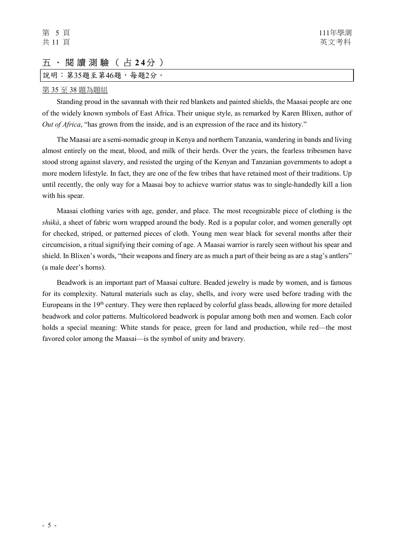## 五 、 閱 讀 測 驗 ( 占 2 4分 )

說明: 第35題至第46題, 每題2分。

## 第 35 至 38 題為題組

Standing proud in the savannah with their red blankets and painted shields, the Maasai people are one of the widely known symbols of East Africa. Their unique style, as remarked by Karen Blixen, author of Out of Africa, "has grown from the inside, and is an expression of the race and its history."

The Maasai are a semi-nomadic group in Kenya and northern Tanzania, wandering in bands and living almost entirely on the meat, blood, and milk of their herds. Over the years, the fearless tribesmen have stood strong against slavery, and resisted the urging of the Kenyan and Tanzanian governments to adopt a more modern lifestyle. In fact, they are one of the few tribes that have retained most of their traditions. Up until recently, the only way for a Maasai boy to achieve warrior status was to single-handedly kill a lion with his spear.

Maasai clothing varies with age, gender, and place. The most recognizable piece of clothing is the  $\delta h$ *ikà*, a sheet of fabric worn wrapped around the body. Red is a popular color, and women generally opt for checked, striped, or patterned pieces of cloth. Young men wear black for several months after their circumcision, a ritual signifying their coming of age. A Maasai warrior is rarely seen without his spear and shield. In Blixen's words, "their weapons and finery are as much a part of their being as are a stag's antlers" (a male deer's horns).

Beadwork is an important part of Maasai culture. Beaded jewelry is made by women, and is famous for its complexity. Natural materials such as clay, shells, and ivory were used before trading with the Europeans in the 19th century. They were then replaced by colorful glass beads, allowing for more detailed beadwork and color patterns. Multicolored beadwork is popular among both men and women. Each color holds a special meaning: White stands for peace, green for land and production, while red—the most favored color among the Maasai—is the symbol of unity and bravery.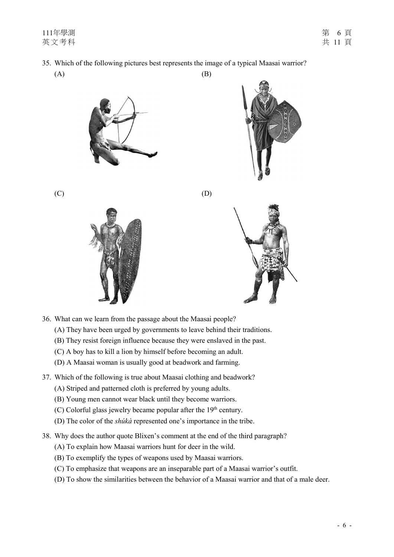35. Which of the following pictures best represents the image of a typical Maasai warrior?

 $(A)$  (B)





 $(C)$  (D)





- 36. What can we learn from the passage about the Maasai people?
	- (A) They have been urged by governments to leave behind their traditions.
	- (B) They resist foreign influence because they were enslaved in the past.
	- (C) A boy has to kill a lion by himself before becoming an adult.
	- (D) A Maasai woman is usually good at beadwork and farming.
- 37. Which of the following is true about Maasai clothing and beadwork?
	- (A) Striped and patterned cloth is preferred by young adults.
	- (B) Young men cannot wear black until they become warriors.
	- (C) Colorful glass jewelry became popular after the  $19<sup>th</sup>$  century.
	- (D) The color of the shúkà represented one's importance in the tribe.
- 38. Why does the author quote Blixen's comment at the end of the third paragraph?
	- (A) To explain how Maasai warriors hunt for deer in the wild.
	- (B) To exemplify the types of weapons used by Maasai warriors.
	- (C) To emphasize that weapons are an inseparable part of a Maasai warrior's outfit.
	- (D) To show the similarities between the behavior of a Maasai warrior and that of a male deer.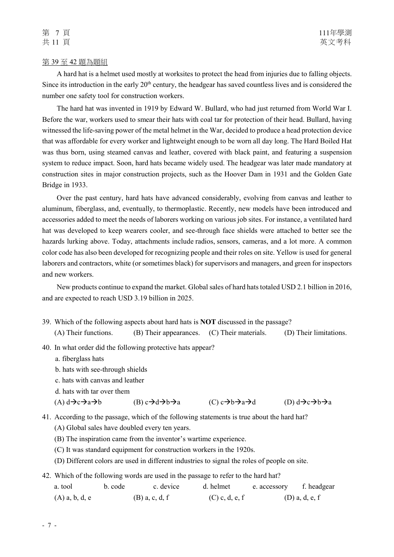#### 第 39 至 42 題為題組

A hard hat is a helmet used mostly at worksites to protect the head from injuries due to falling objects. Since its introduction in the early 20<sup>th</sup> century, the headgear has saved countless lives and is considered the number one safety tool for construction workers.

The hard hat was invented in 1919 by Edward W. Bullard, who had just returned from World War I. Before the war, workers used to smear their hats with coal tar for protection of their head. Bullard, having witnessed the life-saving power of the metal helmet in the War, decided to produce a head protection device that was affordable for every worker and lightweight enough to be worn all day long. The Hard Boiled Hat was thus born, using steamed canvas and leather, covered with black paint, and featuring a suspension system to reduce impact. Soon, hard hats became widely used. The headgear was later made mandatory at construction sites in major construction projects, such as the Hoover Dam in 1931 and the Golden Gate Bridge in 1933.

Over the past century, hard hats have advanced considerably, evolving from canvas and leather to aluminum, fiberglass, and, eventually, to thermoplastic. Recently, new models have been introduced and accessories added to meet the needs of laborers working on various job sites. For instance, a ventilated hard hat was developed to keep wearers cooler, and see-through face shields were attached to better see the hazards lurking above. Today, attachments include radios, sensors, cameras, and a lot more. A common color code has also been developed for recognizing people and their roles on site. Yellow is used for general laborers and contractors, white (or sometimes black) for supervisors and managers, and green for inspectors and new workers.

New products continue to expand the market. Global sales of hard hats totaled USD 2.1 billion in 2016, and are expected to reach USD 3.19 billion in 2025.

- 39. Which of the following aspects about hard hats is NOT discussed in the passage? (A) Their functions. (B) Their appearances. (C) Their materials. (D) Their limitations.
- 40. In what order did the following protective hats appear?
	- a. fiberglass hats
	- b. hats with see-through shields
	- c. hats with canvas and leather
	- d. hats with tar over them

(A)  $d\rightarrow c\rightarrow a\rightarrow b$  (B)  $c\rightarrow d\rightarrow b\rightarrow a$  (C)  $c\rightarrow b\rightarrow a\rightarrow d$  (D)  $d\rightarrow c\rightarrow b\rightarrow a$ 

41. According to the passage, which of the following statements is true about the hard hat?

- (A) Global sales have doubled every ten years.
- (B) The inspiration came from the inventor's wartime experience.
- (C) It was standard equipment for construction workers in the 1920s.
- (D) Different colors are used in different industries to signal the roles of people on site.
- 42. Which of the following words are used in the passage to refer to the hard hat?

| a. tool          | b. code | c. device        | d. helmet        | e. accessory f. headgear |                  |
|------------------|---------|------------------|------------------|--------------------------|------------------|
| $(A)$ a, b, d, e |         | $(B)$ a, c, d, f | $(C)$ c, d, e, f |                          | $(D)$ a, d, e, f |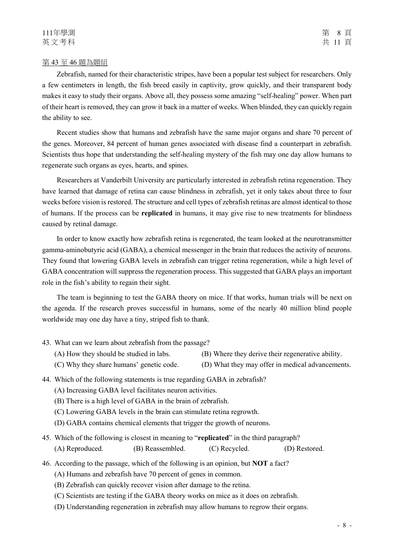Zebrafish, named for their characteristic stripes, have been a popular test subject for researchers. Only a few centimeters in length, the fish breed easily in captivity, grow quickly, and their transparent body makes it easy to study their organs. Above all, they possess some amazing "self-healing" power. When part of their heart is removed, they can grow it back in a matter of weeks. When blinded, they can quickly regain the ability to see.

Recent studies show that humans and zebrafish have the same major organs and share 70 percent of the genes. Moreover, 84 percent of human genes associated with disease find a counterpart in zebrafish. Scientists thus hope that understanding the self-healing mystery of the fish may one day allow humans to regenerate such organs as eyes, hearts, and spines.

Researchers at Vanderbilt University are particularly interested in zebrafish retina regeneration. They have learned that damage of retina can cause blindness in zebrafish, yet it only takes about three to four weeks before vision is restored. The structure and cell types of zebrafish retinas are almost identical to those of humans. If the process can be replicated in humans, it may give rise to new treatments for blindness caused by retinal damage.

In order to know exactly how zebrafish retina is regenerated, the team looked at the neurotransmitter gamma-aminobutyric acid (GABA), a chemical messenger in the brain that reduces the activity of neurons. They found that lowering GABA levels in zebrafish can trigger retina regeneration, while a high level of GABA concentration will suppress the regeneration process. This suggested that GABA plays an important role in the fish's ability to regain their sight.

The team is beginning to test the GABA theory on mice. If that works, human trials will be next on the agenda. If the research proves successful in humans, some of the nearly 40 million blind people worldwide may one day have a tiny, striped fish to thank.

- 43. What can we learn about zebrafish from the passage?
	- (A) How they should be studied in labs. (B) Where they derive their regenerative ability.
	- (C) Why they share humans' genetic code. (D) What they may offer in medical advancements.
- 44. Which of the following statements is true regarding GABA in zebrafish?
	- (A) Increasing GABA level facilitates neuron activities.
	- (B) There is a high level of GABA in the brain of zebrafish.
	- (C) Lowering GABA levels in the brain can stimulate retina regrowth.
	- (D) GABA contains chemical elements that trigger the growth of neurons.
- 45. Which of the following is closest in meaning to "replicated" in the third paragraph? (A) Reproduced. (B) Reassembled. (C) Recycled. (D) Restored.
- 46. According to the passage, which of the following is an opinion, but NOT a fact?
	- (A) Humans and zebrafish have 70 percent of genes in common.
	- (B) Zebrafish can quickly recover vision after damage to the retina.
	- (C) Scientists are testing if the GABA theory works on mice as it does on zebrafish.
	- (D) Understanding regeneration in zebrafish may allow humans to regrow their organs.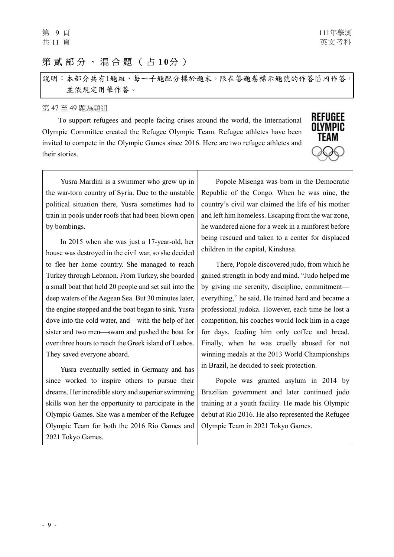# 第貳部分、混合題(占10分)

說明︰本部分共有1題組,每一子題配分標於題末。限在答題卷標示題號的作答區內作答, 並依規定用筆作答。

### 第 47 至 49 題為題組

To support refugees and people facing crises around the world, the International Olympic Committee created the Refugee Olympic Team. Refugee athletes have been invited to compete in the Olympic Games since 2016. Here are two refugee athletes and their stories.



Yusra Mardini is a swimmer who grew up in the war-torn country of Syria. Due to the unstable political situation there, Yusra sometimes had to train in pools under roofs that had been blown open by bombings.

In 2015 when she was just a 17-year-old, her house was destroyed in the civil war, so she decided to flee her home country. She managed to reach Turkey through Lebanon. From Turkey, she boarded a small boat that held 20 people and set sail into the deep waters of the Aegean Sea. But 30 minutes later, the engine stopped and the boat began to sink. Yusra dove into the cold water, and—with the help of her sister and two men—swam and pushed the boat for over three hours to reach the Greek island of Lesbos. They saved everyone aboard.

Yusra eventually settled in Germany and has since worked to inspire others to pursue their dreams. Her incredible story and superior swimming skills won her the opportunity to participate in the Olympic Games. She was a member of the Refugee Olympic Team for both the 2016 Rio Games and 2021 Tokyo Games.

Popole Misenga was born in the Democratic Republic of the Congo. When he was nine, the country's civil war claimed the life of his mother and left him homeless. Escaping from the war zone, he wandered alone for a week in a rainforest before being rescued and taken to a center for displaced children in the capital, Kinshasa.

There, Popole discovered judo, from which he gained strength in body and mind. "Judo helped me by giving me serenity, discipline, commitment everything," he said. He trained hard and became a professional judoka. However, each time he lost a competition, his coaches would lock him in a cage for days, feeding him only coffee and bread. Finally, when he was cruelly abused for not winning medals at the 2013 World Championships in Brazil, he decided to seek protection.

Popole was granted asylum in 2014 by Brazilian government and later continued judo training at a youth facility. He made his Olympic debut at Rio 2016. He also represented the Refugee Olympic Team in 2021 Tokyo Games.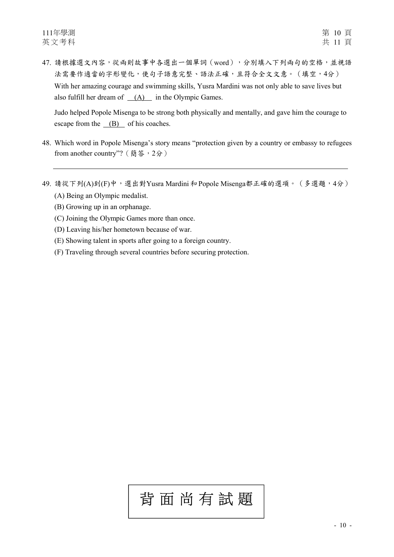47. 請根據選文內容,從兩則故事中各選出一個單詞 (word),分別填入下列兩句的空格,並視語 法需要作適當的字形變化,使句子語意完整、語法正確,且符合全文文意。(填空,4分) With her amazing courage and swimming skills, Yusra Mardini was not only able to save lives but also fulfill her dream of  $(A)$  in the Olympic Games.

Judo helped Popole Misenga to be strong both physically and mentally, and gave him the courage to escape from the (B) of his coaches.

- 48. Which word in Popole Misenga's story means "protection given by a country or embassy to refugees from another country"? (簡答,2分)
- 49. 請從下列(A)到(F)中,選出對Yusra Mardini和 Popole Misenga都正確的選項。(多選題,4分)
	- (A) Being an Olympic medalist.
	- (B) Growing up in an orphanage.
	- (C) Joining the Olympic Games more than once.
	- (D) Leaving his/her hometown because of war.
	- (E) Showing talent in sports after going to a foreign country.
	- (F) Traveling through several countries before securing protection.